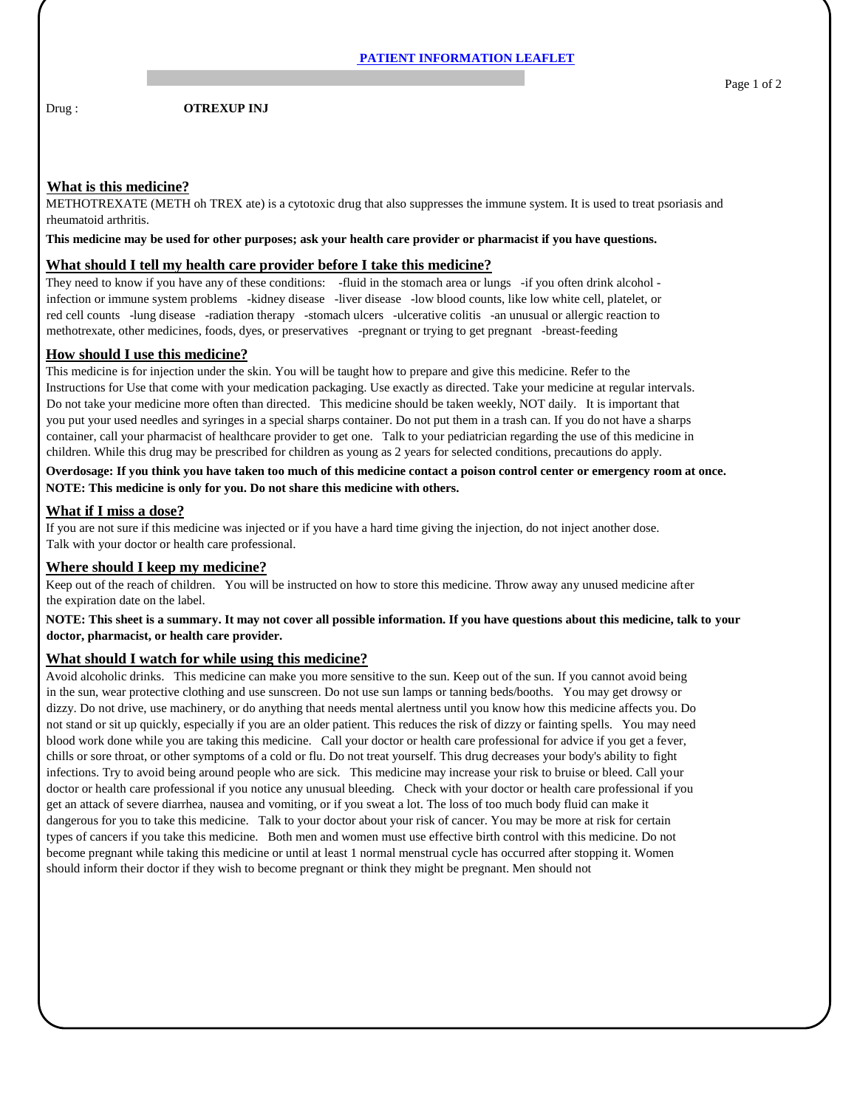Drug : **OTREXUP INJ** 

# **What is this medicine?**

METHOTREXATE (METH oh TREX ate) is a cytotoxic drug that also suppresses the immune system. It is used to treat psoriasis and rheumatoid arthritis.

**This medicine may be used for other purposes; ask your health care provider or pharmacist if you have questions.**

## **What should I tell my health care provider before I take this medicine?**

They need to know if you have any of these conditions: -fluid in the stomach area or lungs -if you often drink alcohol infection or immune system problems -kidney disease -liver disease -low blood counts, like low white cell, platelet, or red cell counts -lung disease -radiation therapy -stomach ulcers -ulcerative colitis -an unusual or allergic reaction to methotrexate, other medicines, foods, dyes, or preservatives -pregnant or trying to get pregnant -breast-feeding

# **How should I use this medicine?**

This medicine is for injection under the skin. You will be taught how to prepare and give this medicine. Refer to the Instructions for Use that come with your medication packaging. Use exactly as directed. Take your medicine at regular intervals. Do not take your medicine more often than directed. This medicine should be taken weekly, NOT daily. It is important that you put your used needles and syringes in a special sharps container. Do not put them in a trash can. If you do not have a sharps container, call your pharmacist of healthcare provider to get one. Talk to your pediatrician regarding the use of this medicine in children. While this drug may be prescribed for children as young as 2 years for selected conditions, precautions do apply.

**Overdosage: If you think you have taken too much of this medicine contact a poison control center or emergency room at once. NOTE: This medicine is only for you. Do not share this medicine with others.**

## **What if I miss a dose?**

If you are not sure if this medicine was injected or if you have a hard time giving the injection, do not inject another dose. Talk with your doctor or health care professional.

#### **Where should I keep my medicine?**

Keep out of the reach of children. You will be instructed on how to store this medicine. Throw away any unused medicine after the expiration date on the label.

**NOTE: This sheet is a summary. It may not cover all possible information. If you have questions about this medicine, talk to your doctor, pharmacist, or health care provider.**

#### **What should I watch for while using this medicine?**

Avoid alcoholic drinks. This medicine can make you more sensitive to the sun. Keep out of the sun. If you cannot avoid being in the sun, wear protective clothing and use sunscreen. Do not use sun lamps or tanning beds/booths. You may get drowsy or dizzy. Do not drive, use machinery, or do anything that needs mental alertness until you know how this medicine affects you. Do not stand or sit up quickly, especially if you are an older patient. This reduces the risk of dizzy or fainting spells. You may need blood work done while you are taking this medicine. Call your doctor or health care professional for advice if you get a fever, chills or sore throat, or other symptoms of a cold or flu. Do not treat yourself. This drug decreases your body's ability to fight infections. Try to avoid being around people who are sick. This medicine may increase your risk to bruise or bleed. Call your doctor or health care professional if you notice any unusual bleeding. Check with your doctor or health care professional if you get an attack of severe diarrhea, nausea and vomiting, or if you sweat a lot. The loss of too much body fluid can make it dangerous for you to take this medicine. Talk to your doctor about your risk of cancer. You may be more at risk for certain types of cancers if you take this medicine. Both men and women must use effective birth control with this medicine. Do not become pregnant while taking this medicine or until at least 1 normal menstrual cycle has occurred after stopping it. Women should inform their doctor if they wish to become pregnant or think they might be pregnant. Men should not